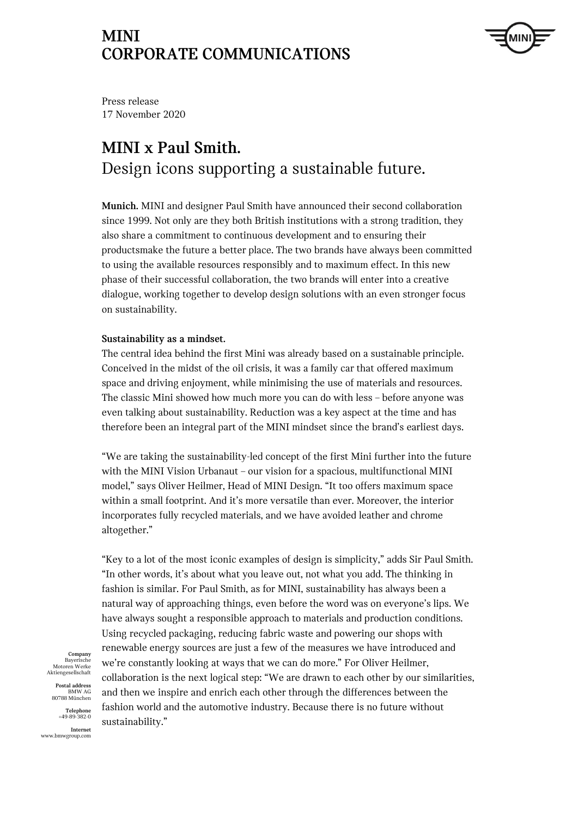

Press release 17 November 2020

# **MINI x Paul Smith.**  Design icons supporting a sustainable future.

**Munich.** MINI and designer Paul Smith have announced their second collaboration since 1999. Not only are they both British institutions with a strong tradition, they also share a commitment to continuous development and to ensuring their productsmake the future a better place. The two brands have always been committed to using the available resources responsibly and to maximum effect. In this new phase of their successful collaboration, the two brands will enter into a creative dialogue, working together to develop design solutions with an even stronger focus on sustainability.

### **Sustainability as a mindset.**

The central idea behind the first Mini was already based on a sustainable principle. Conceived in the midst of the oil crisis, it was a family car that offered maximum space and driving enjoyment, while minimising the use of materials and resources. The classic Mini showed how much more you can do with less – before anyone was even talking about sustainability. Reduction was a key aspect at the time and has therefore been an integral part of the MINI mindset since the brand's earliest days.

"We are taking the sustainability-led concept of the first Mini further into the future with the MINI Vision Urbanaut – our vision for a spacious, multifunctional MINI model," says Oliver Heilmer, Head of MINI Design. "It too offers maximum space within a small footprint. And it's more versatile than ever. Moreover, the interior incorporates fully recycled materials, and we have avoided leather and chrome altogether."

"Key to a lot of the most iconic examples of design is simplicity," adds Sir Paul Smith. "In other words, it's about what you leave out, not what you add. The thinking in fashion is similar. For Paul Smith, as for MINI, sustainability has always been a natural way of approaching things, even before the word was on everyone's lips. We have always sought a responsible approach to materials and production conditions. Using recycled packaging, reducing fabric waste and powering our shops with renewable energy sources are just a few of the measures we have introduced and we're constantly looking at ways that we can do more." For Oliver Heilmer, collaboration is the next logical step: "We are drawn to each other by our similarities, and then we inspire and enrich each other through the differences between the fashion world and the automotive industry. Because there is no future without sustainability."

**Company** Bayerisch Motoren Werke Aktiengesellschaft

**Postal address** BMW AG 80788 München

**Telephone** +49-89-382-0 **Internet**

www.bmwgroup.com